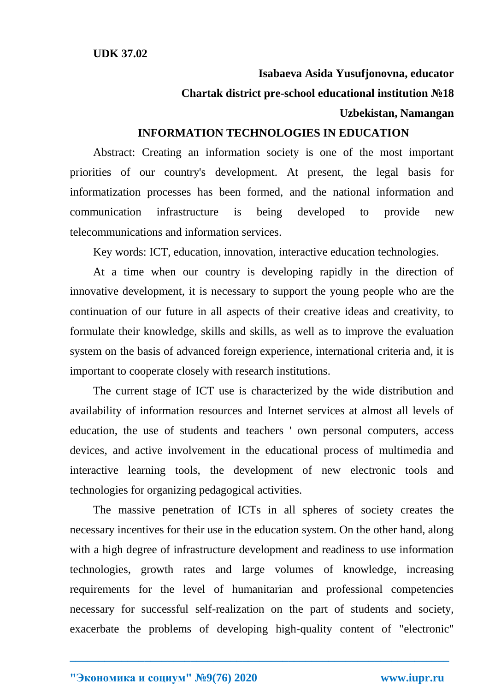# **Isabaeva Asida Yusufjonovna, educator**

# **Chartak district pre-school educational institution №18**

### **Uzbekistan, Namangan**

# **INFORMATION TECHNOLOGIES IN EDUCATION**

Abstract: Creating an information society is one of the most important priorities of our country's development. At present, the legal basis for informatization processes has been formed, and the national information and communication infrastructure is being developed to provide new telecommunications and information services.

Key words: ICT, education, innovation, interactive education technologies.

At a time when our country is developing rapidly in the direction of innovative development, it is necessary to support the young people who are the continuation of our future in all aspects of their creative ideas and creativity, to formulate their knowledge, skills and skills, as well as to improve the evaluation system on the basis of advanced foreign experience, international criteria and, it is important to cooperate closely with research institutions.

The current stage of ICT use is characterized by the wide distribution and availability of information resources and Internet services at almost all levels of education, the use of students and teachers ' own personal computers, access devices, and active involvement in the educational process of multimedia and interactive learning tools, the development of new electronic tools and technologies for organizing pedagogical activities.

The massive penetration of ICTs in all spheres of society creates the necessary incentives for their use in the education system. On the other hand, along with a high degree of infrastructure development and readiness to use information technologies, growth rates and large volumes of knowledge, increasing requirements for the level of humanitarian and professional competencies necessary for successful self-realization on the part of students and society, exacerbate the problems of developing high-quality content of "electronic"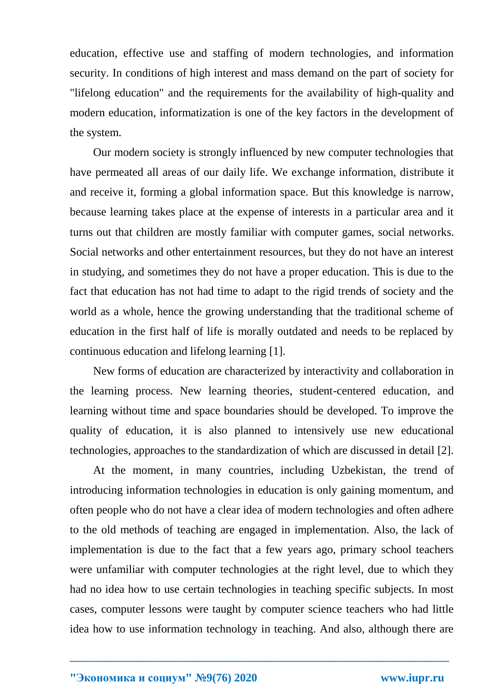education, effective use and staffing of modern technologies, and information security. In conditions of high interest and mass demand on the part of society for "lifelong education" and the requirements for the availability of high-quality and modern education, informatization is one of the key factors in the development of the system.

Our modern society is strongly influenced by new computer technologies that have permeated all areas of our daily life. We exchange information, distribute it and receive it, forming a global information space. But this knowledge is narrow, because learning takes place at the expense of interests in a particular area and it turns out that children are mostly familiar with computer games, social networks. Social networks and other entertainment resources, but they do not have an interest in studying, and sometimes they do not have a proper education. This is due to the fact that education has not had time to adapt to the rigid trends of society and the world as a whole, hence the growing understanding that the traditional scheme of education in the first half of life is morally outdated and needs to be replaced by continuous education and lifelong learning [1].

New forms of education are characterized by interactivity and collaboration in the learning process. New learning theories, student-centered education, and learning without time and space boundaries should be developed. To improve the quality of education, it is also planned to intensively use new educational technologies, approaches to the standardization of which are discussed in detail [2].

At the moment, in many countries, including Uzbekistan, the trend of introducing information technologies in education is only gaining momentum, and often people who do not have a clear idea of modern technologies and often adhere to the old methods of teaching are engaged in implementation. Also, the lack of implementation is due to the fact that a few years ago, primary school teachers were unfamiliar with computer technologies at the right level, due to which they had no idea how to use certain technologies in teaching specific subjects. In most cases, computer lessons were taught by computer science teachers who had little idea how to use information technology in teaching. And also, although there are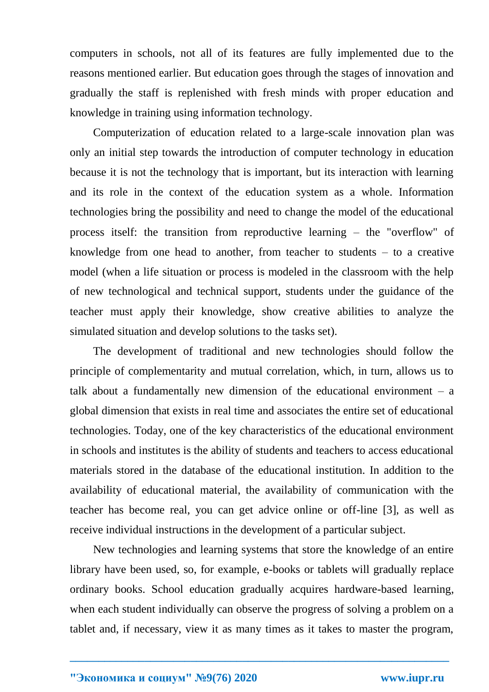computers in schools, not all of its features are fully implemented due to the reasons mentioned earlier. But education goes through the stages of innovation and gradually the staff is replenished with fresh minds with proper education and knowledge in training using information technology.

Computerization of education related to a large-scale innovation plan was only an initial step towards the introduction of computer technology in education because it is not the technology that is important, but its interaction with learning and its role in the context of the education system as a whole. Information technologies bring the possibility and need to change the model of the educational process itself: the transition from reproductive learning – the "overflow" of knowledge from one head to another, from teacher to students – to a creative model (when a life situation or process is modeled in the classroom with the help of new technological and technical support, students under the guidance of the teacher must apply their knowledge, show creative abilities to analyze the simulated situation and develop solutions to the tasks set).

The development of traditional and new technologies should follow the principle of complementarity and mutual correlation, which, in turn, allows us to talk about a fundamentally new dimension of the educational environment – a global dimension that exists in real time and associates the entire set of educational technologies. Today, one of the key characteristics of the educational environment in schools and institutes is the ability of students and teachers to access educational materials stored in the database of the educational institution. In addition to the availability of educational material, the availability of communication with the teacher has become real, you can get advice online or off-line [3], as well as receive individual instructions in the development of a particular subject.

New technologies and learning systems that store the knowledge of an entire library have been used, so, for example, e-books or tablets will gradually replace ordinary books. School education gradually acquires hardware-based learning, when each student individually can observe the progress of solving a problem on a tablet and, if necessary, view it as many times as it takes to master the program,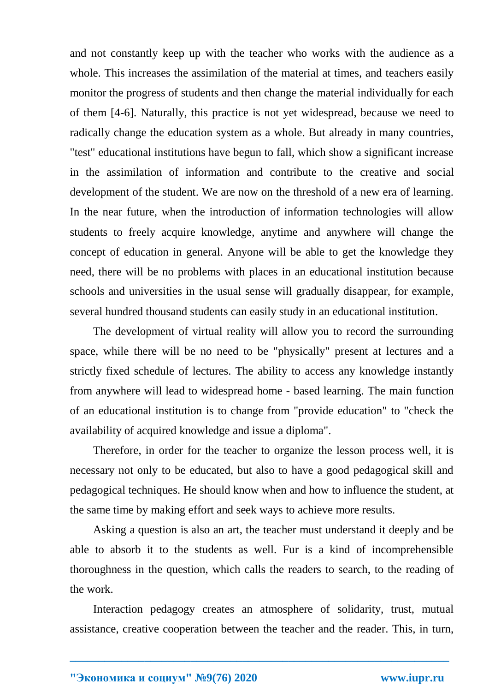and not constantly keep up with the teacher who works with the audience as a whole. This increases the assimilation of the material at times, and teachers easily monitor the progress of students and then change the material individually for each of them [4-6]. Naturally, this practice is not yet widespread, because we need to radically change the education system as a whole. But already in many countries, "test" educational institutions have begun to fall, which show a significant increase in the assimilation of information and contribute to the creative and social development of the student. We are now on the threshold of a new era of learning. In the near future, when the introduction of information technologies will allow students to freely acquire knowledge, anytime and anywhere will change the concept of education in general. Anyone will be able to get the knowledge they need, there will be no problems with places in an educational institution because schools and universities in the usual sense will gradually disappear, for example, several hundred thousand students can easily study in an educational institution.

The development of virtual reality will allow you to record the surrounding space, while there will be no need to be "physically" present at lectures and a strictly fixed schedule of lectures. The ability to access any knowledge instantly from anywhere will lead to widespread home - based learning. The main function of an educational institution is to change from "provide education" to "check the availability of acquired knowledge and issue a diploma".

Therefore, in order for the teacher to organize the lesson process well, it is necessary not only to be educated, but also to have a good pedagogical skill and pedagogical techniques. He should know when and how to influence the student, at the same time by making effort and seek ways to achieve more results.

Asking a question is also an art, the teacher must understand it deeply and be able to absorb it to the students as well. Fur is a kind of incomprehensible thoroughness in the question, which calls the readers to search, to the reading of the work.

Interaction pedagogy creates an atmosphere of solidarity, trust, mutual assistance, creative cooperation between the teacher and the reader. This, in turn,